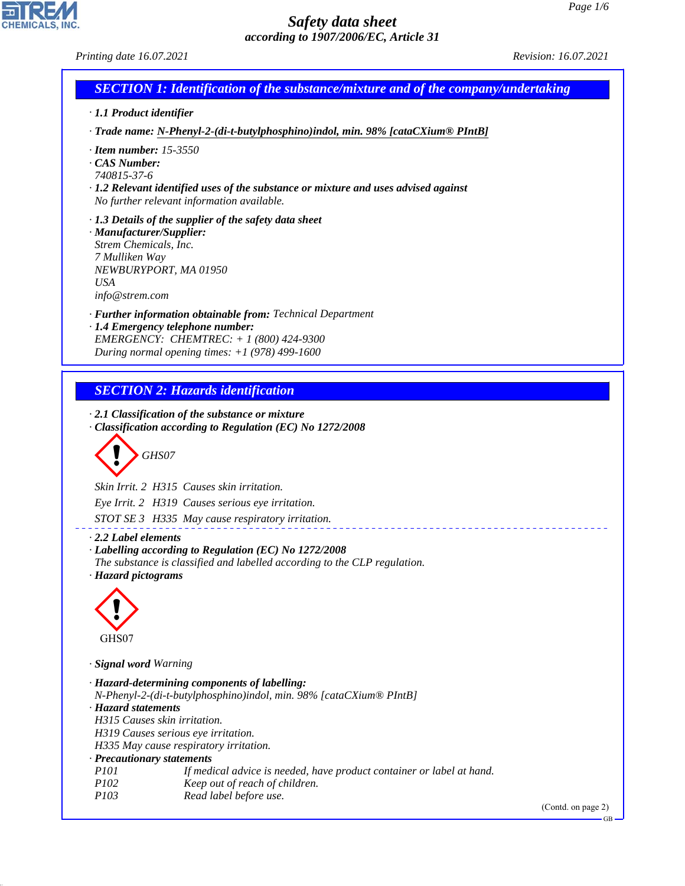CHEMICALS, INC.

44.1.1

| Printing date 16.07.2021                |                                                                                           | Revision: 16.07.2021 |
|-----------------------------------------|-------------------------------------------------------------------------------------------|----------------------|
|                                         | <b>SECTION 1: Identification of the substance/mixture and of the company/undertaking</b>  |                      |
| · 1.1 Product identifier                |                                                                                           |                      |
|                                         | · Trade name: N-Phenyl-2-(di-t-butylphosphino)indol, min. 98% [cataCXium® PIntB]          |                      |
| $\cdot$ Item number: 15-3550            |                                                                                           |                      |
| CAS Number:<br>740815-37-6              |                                                                                           |                      |
|                                         | $\cdot$ 1.2 Relevant identified uses of the substance or mixture and uses advised against |                      |
|                                         | No further relevant information available.                                                |                      |
|                                         | $\cdot$ 1.3 Details of the supplier of the safety data sheet                              |                      |
| · Manufacturer/Supplier:                |                                                                                           |                      |
| Strem Chemicals, Inc.<br>7 Mulliken Way |                                                                                           |                      |
|                                         | NEWBURYPORT, MA 01950                                                                     |                      |
| <b>USA</b>                              |                                                                                           |                      |
| info@strem.com                          |                                                                                           |                      |
|                                         | · Further information obtainable from: Technical Department                               |                      |
|                                         | · 1.4 Emergency telephone number:                                                         |                      |
|                                         | EMERGENCY: CHEMTREC: $+ 1 (800) 424 - 9300$                                               |                      |
|                                         | During normal opening times: $+1$ (978) 499-1600                                          |                      |
|                                         |                                                                                           |                      |
|                                         | <b>SECTION 2: Hazards identification</b>                                                  |                      |
|                                         | GHS07                                                                                     |                      |
|                                         | Skin Irrit. 2 H315 Causes skin irritation.                                                |                      |
|                                         | Eye Irrit. 2 H319 Causes serious eye irritation.                                          |                      |
|                                         | STOT SE 3 H335 May cause respiratory irritation.                                          |                      |
| $\cdot$ 2.2 Label elements              |                                                                                           |                      |
|                                         | · Labelling according to Regulation (EC) No 1272/2008                                     |                      |
|                                         | The substance is classified and labelled according to the CLP regulation.                 |                      |
| · Hazard pictograms                     |                                                                                           |                      |
|                                         |                                                                                           |                      |
|                                         |                                                                                           |                      |
|                                         |                                                                                           |                      |
| GHS07                                   |                                                                                           |                      |
| · Signal word Warning                   |                                                                                           |                      |
|                                         | · Hazard-determining components of labelling:                                             |                      |
|                                         | N-Phenyl-2-(di-t-butylphosphino)indol, min. 98% [cataCXium® PIntB]                        |                      |
| · Hazard statements                     |                                                                                           |                      |
|                                         | H315 Causes skin irritation.                                                              |                      |
|                                         | H319 Causes serious eye irritation.                                                       |                      |
|                                         | H335 May cause respiratory irritation.<br>· Precautionary statements                      |                      |
| <i>P101</i>                             | If medical advice is needed, have product container or label at hand.                     |                      |
| P102                                    | Keep out of reach of children.                                                            |                      |
| P103                                    | Read label before use.                                                                    |                      |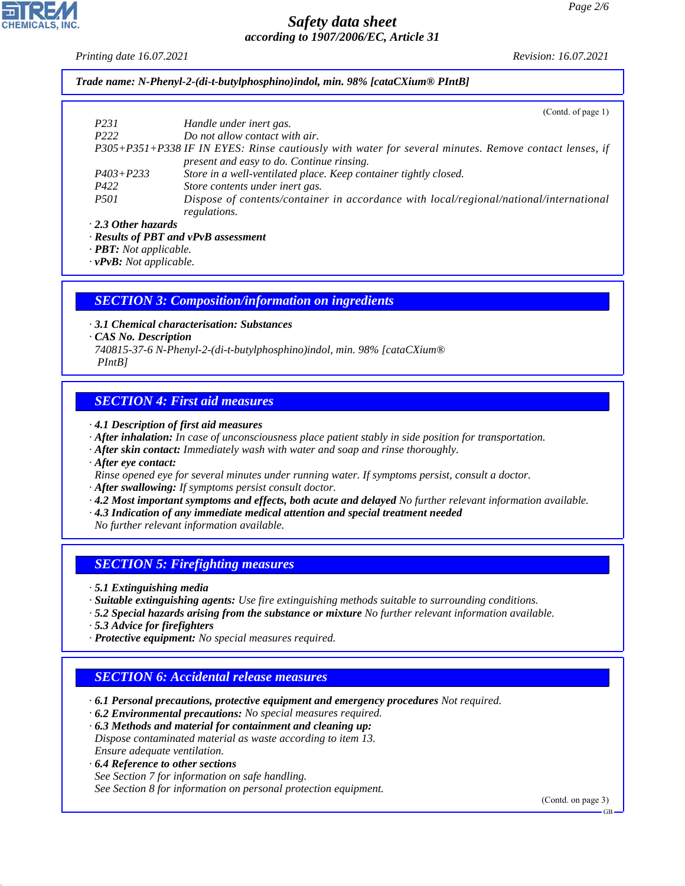*Printing date 16.07.2021 Revision: 16.07.2021*

*Trade name: N-Phenyl-2-(di-t-butylphosphino)indol, min. 98% [cataCXium® PIntB]*

|                           | (Contd. of page $1$ )                                                                                 |
|---------------------------|-------------------------------------------------------------------------------------------------------|
| P <sub>231</sub>          | Handle under inert gas.                                                                               |
| P <sub>222</sub>          | Do not allow contact with air.                                                                        |
|                           | P305+P351+P338 IF IN EYES: Rinse cautiously with water for several minutes. Remove contact lenses, if |
|                           | present and easy to do. Continue rinsing.                                                             |
| $P403 + P233$             | Store in a well-ventilated place. Keep container tightly closed.                                      |
| P422                      | Store contents under inert gas.                                                                       |
| <i>P501</i>               | Dispose of contents/container in accordance with local/regional/national/international                |
|                           | regulations.                                                                                          |
| $\cdot$ 2.3 Other hazards |                                                                                                       |

*· Results of PBT and vPvB assessment*

*· PBT: Not applicable.*

*· vPvB: Not applicable.*

#### *SECTION 3: Composition/information on ingredients*

*· 3.1 Chemical characterisation: Substances*

*· CAS No. Description*

*740815-37-6 N-Phenyl-2-(di-t-butylphosphino)indol, min. 98% [cataCXium® PIntB]*

#### *SECTION 4: First aid measures*

*· 4.1 Description of first aid measures*

- *· After inhalation: In case of unconsciousness place patient stably in side position for transportation.*
- *· After skin contact: Immediately wash with water and soap and rinse thoroughly.*
- *· After eye contact:*
- *Rinse opened eye for several minutes under running water. If symptoms persist, consult a doctor.*

*· After swallowing: If symptoms persist consult doctor.*

- *· 4.2 Most important symptoms and effects, both acute and delayed No further relevant information available.*
- *· 4.3 Indication of any immediate medical attention and special treatment needed*
- *No further relevant information available.*

#### *SECTION 5: Firefighting measures*

*· 5.1 Extinguishing media*

- *· Suitable extinguishing agents: Use fire extinguishing methods suitable to surrounding conditions.*
- *· 5.2 Special hazards arising from the substance or mixture No further relevant information available.*
- *· 5.3 Advice for firefighters*
- *· Protective equipment: No special measures required.*

#### *SECTION 6: Accidental release measures*

*· 6.1 Personal precautions, protective equipment and emergency procedures Not required.*

*· 6.2 Environmental precautions: No special measures required.*

*· 6.3 Methods and material for containment and cleaning up: Dispose contaminated material as waste according to item 13. Ensure adequate ventilation.*

*· 6.4 Reference to other sections*

44.1.1

*See Section 7 for information on safe handling. See Section 8 for information on personal protection equipment.*

(Contd. on page 3)

GB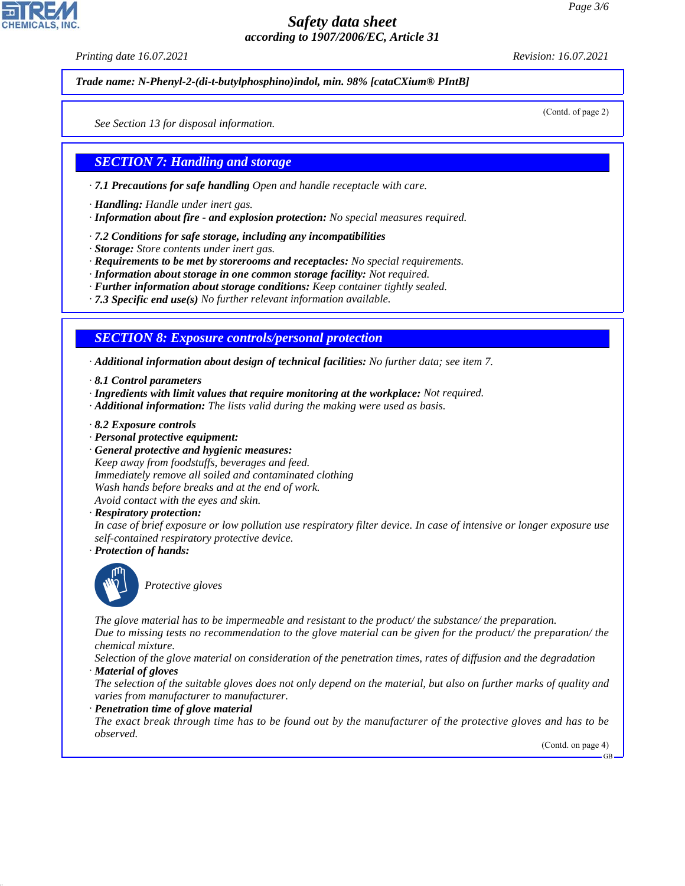*Printing date 16.07.2021 Revision: 16.07.2021*

*Trade name: N-Phenyl-2-(di-t-butylphosphino)indol, min. 98% [cataCXium® PIntB]*

*See Section 13 for disposal information.*

#### *SECTION 7: Handling and storage*

- *· 7.1 Precautions for safe handling Open and handle receptacle with care.*
- *· Handling: Handle under inert gas.*
- *· Information about fire and explosion protection: No special measures required.*
- *· 7.2 Conditions for safe storage, including any incompatibilities*
- *· Storage: Store contents under inert gas.*
- *· Requirements to be met by storerooms and receptacles: No special requirements.*
- *· Information about storage in one common storage facility: Not required.*
- *· Further information about storage conditions: Keep container tightly sealed.*
- *· 7.3 Specific end use(s) No further relevant information available.*

*SECTION 8: Exposure controls/personal protection*

*· Additional information about design of technical facilities: No further data; see item 7.*

- *· 8.1 Control parameters*
- *· Ingredients with limit values that require monitoring at the workplace: Not required.*
- *· Additional information: The lists valid during the making were used as basis.*
- *· 8.2 Exposure controls*
- *· Personal protective equipment:*
- *· General protective and hygienic measures: Keep away from foodstuffs, beverages and feed. Immediately remove all soiled and contaminated clothing Wash hands before breaks and at the end of work. Avoid contact with the eyes and skin.*
- *· Respiratory protection:*

*In case of brief exposure or low pollution use respiratory filter device. In case of intensive or longer exposure use self-contained respiratory protective device.*

*· Protection of hands:*



44.1.1

\_S*Protective gloves*

*The glove material has to be impermeable and resistant to the product/ the substance/ the preparation.*

*Due to missing tests no recommendation to the glove material can be given for the product/ the preparation/ the chemical mixture.*

*Selection of the glove material on consideration of the penetration times, rates of diffusion and the degradation · Material of gloves*

*The selection of the suitable gloves does not only depend on the material, but also on further marks of quality and varies from manufacturer to manufacturer.*

*· Penetration time of glove material*

*The exact break through time has to be found out by the manufacturer of the protective gloves and has to be observed.*

(Contd. on page 4)

GB



(Contd. of page 2)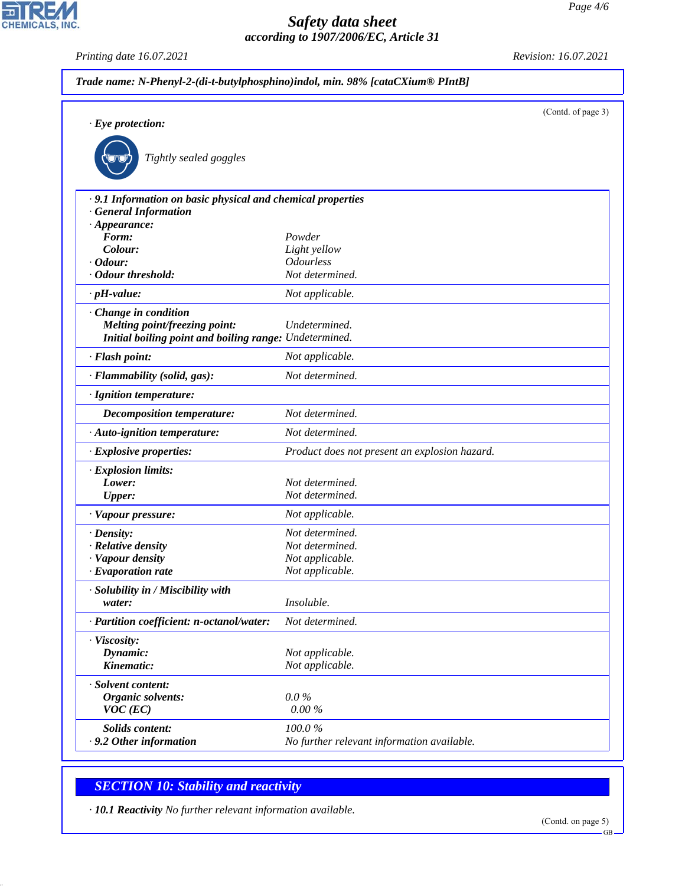*Printing date 16.07.2021 Revision: 16.07.2021*

CHEMICALS, INC.

|                                                                                         |                                               | (Contd. of page 3) |
|-----------------------------------------------------------------------------------------|-----------------------------------------------|--------------------|
| $\cdot$ Eye protection:                                                                 |                                               |                    |
|                                                                                         |                                               |                    |
| Tightly sealed goggles                                                                  |                                               |                    |
| · 9.1 Information on basic physical and chemical properties                             |                                               |                    |
| · General Information                                                                   |                                               |                    |
| $\cdot$ Appearance:                                                                     |                                               |                    |
| Form:                                                                                   | Powder                                        |                    |
| Colour:<br>$\cdot$ Odour:                                                               | Light yellow<br><b>Odourless</b>              |                    |
| · Odour threshold:                                                                      | Not determined.                               |                    |
|                                                                                         |                                               |                    |
| $\cdot$ pH-value:                                                                       | Not applicable.                               |                    |
| Change in condition                                                                     |                                               |                    |
| Melting point/freezing point:<br>Initial boiling point and boiling range: Undetermined. | Undetermined.                                 |                    |
|                                                                                         |                                               |                    |
| · Flash point:                                                                          | Not applicable.                               |                    |
| · Flammability (solid, gas):                                                            | Not determined.                               |                    |
| · Ignition temperature:                                                                 |                                               |                    |
| Decomposition temperature:                                                              | Not determined.                               |                    |
| · Auto-ignition temperature:                                                            | Not determined.                               |                    |
| $\cdot$ Explosive properties:                                                           | Product does not present an explosion hazard. |                    |
| · Explosion limits:                                                                     |                                               |                    |
| Lower:                                                                                  | Not determined.                               |                    |
| <b>Upper:</b>                                                                           | Not determined.                               |                    |
| · Vapour pressure:                                                                      | Not applicable.                               |                    |
| $\cdot$ Density:                                                                        | Not determined.                               |                    |
| · Relative density                                                                      | Not determined.                               |                    |
| · Vapour density                                                                        | Not applicable.                               |                    |
| $\cdot$ Evaporation rate                                                                | Not applicable.                               |                    |
| · Solubility in / Miscibility with                                                      |                                               |                    |
| water:                                                                                  | Insoluble.                                    |                    |
| · Partition coefficient: n-octanol/water:                                               | Not determined.                               |                    |
| · Viscosity:                                                                            |                                               |                    |
| Dynamic:                                                                                | Not applicable.                               |                    |
| Kinematic:                                                                              | Not applicable.                               |                    |
| · Solvent content:                                                                      |                                               |                    |
| Organic solvents:                                                                       | $0.0\%$                                       |                    |
| $VOC$ (EC)                                                                              | $0.00\%$                                      |                    |
| <b>Solids content:</b>                                                                  | 100.0%                                        |                    |
|                                                                                         | No further relevant information available.    |                    |

# *SECTION 10: Stability and reactivity*

44.1.1

*· 10.1 Reactivity No further relevant information available.*

GB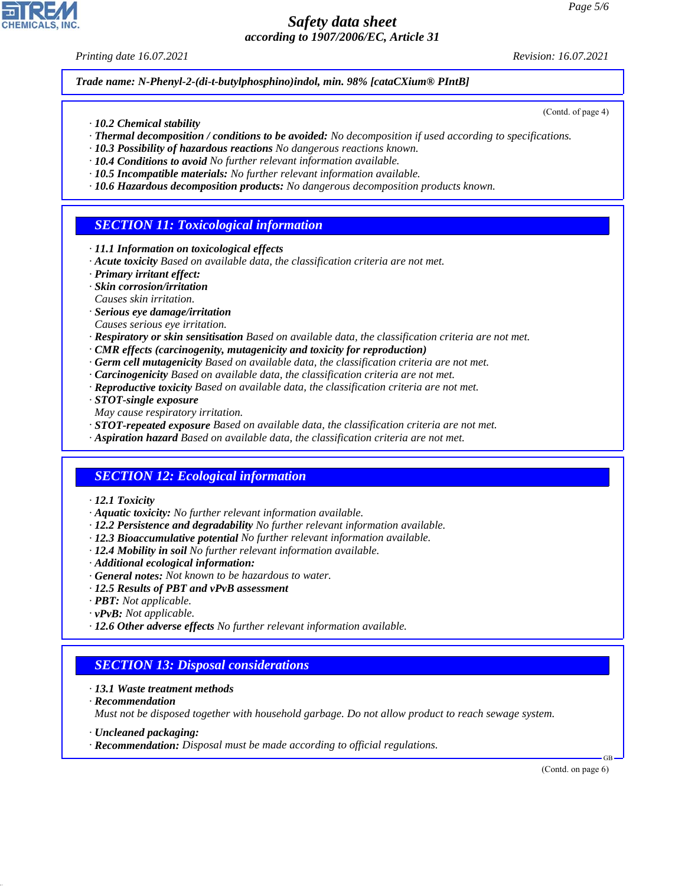*Printing date 16.07.2021 Revision: 16.07.2021*

(Contd. of page 4)

*Trade name: N-Phenyl-2-(di-t-butylphosphino)indol, min. 98% [cataCXium® PIntB]*

- *· 10.2 Chemical stability*
- *· Thermal decomposition / conditions to be avoided: No decomposition if used according to specifications.*
- *· 10.3 Possibility of hazardous reactions No dangerous reactions known.*
- *· 10.4 Conditions to avoid No further relevant information available.*
- *· 10.5 Incompatible materials: No further relevant information available.*
- *· 10.6 Hazardous decomposition products: No dangerous decomposition products known.*

## *SECTION 11: Toxicological information*

- *· 11.1 Information on toxicological effects*
- *· Acute toxicity Based on available data, the classification criteria are not met.*
- *· Primary irritant effect:*
- *· Skin corrosion/irritation*
- *Causes skin irritation.*
- *· Serious eye damage/irritation*
- *Causes serious eye irritation.*
- *· Respiratory or skin sensitisation Based on available data, the classification criteria are not met.*
- *· CMR effects (carcinogenity, mutagenicity and toxicity for reproduction)*
- *· Germ cell mutagenicity Based on available data, the classification criteria are not met.*
- *· Carcinogenicity Based on available data, the classification criteria are not met.*
- *· Reproductive toxicity Based on available data, the classification criteria are not met.*
- *· STOT-single exposure*
- *May cause respiratory irritation.*
- *· STOT-repeated exposure Based on available data, the classification criteria are not met.*
- *· Aspiration hazard Based on available data, the classification criteria are not met.*

## *SECTION 12: Ecological information*

- *· 12.1 Toxicity*
- *· Aquatic toxicity: No further relevant information available.*
- *· 12.2 Persistence and degradability No further relevant information available.*
- *· 12.3 Bioaccumulative potential No further relevant information available.*
- *· 12.4 Mobility in soil No further relevant information available.*
- *· Additional ecological information:*
- *· General notes: Not known to be hazardous to water.*
- *· 12.5 Results of PBT and vPvB assessment*
- *· PBT: Not applicable.*
- *· vPvB: Not applicable.*
- *· 12.6 Other adverse effects No further relevant information available.*

#### *SECTION 13: Disposal considerations*

- *· 13.1 Waste treatment methods*
- *· Recommendation*

44.1.1

*Must not be disposed together with household garbage. Do not allow product to reach sewage system.*

- *· Uncleaned packaging:*
- *· Recommendation: Disposal must be made according to official regulations.*

(Contd. on page 6)

GB